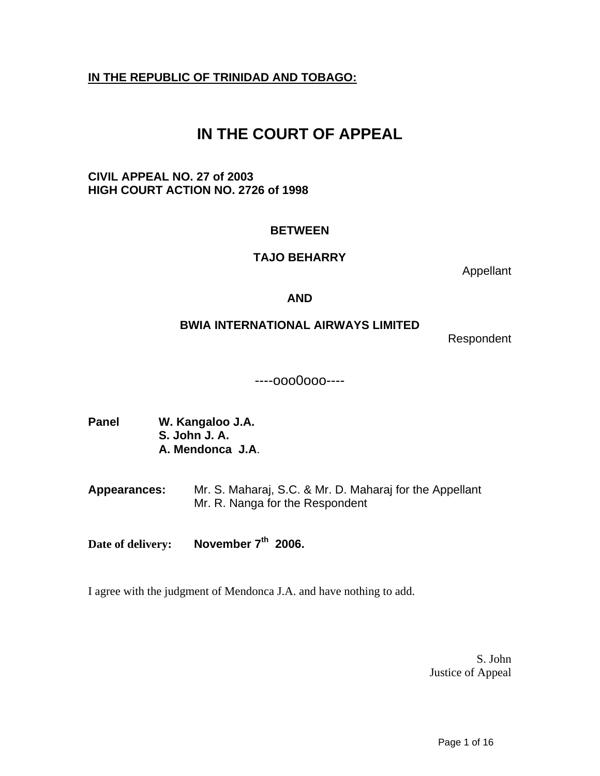#### **IN THE REPUBLIC OF TRINIDAD AND TOBAGO:**

# **IN THE COURT OF APPEAL**

#### **CIVIL APPEAL NO. 27 of 2003 HIGH COURT ACTION NO. 2726 of 1998**

#### **BETWEEN**

### **TAJO BEHARRY**

Appellant

#### **AND**

# **BWIA INTERNATIONAL AIRWAYS LIMITED**

Respondent

# ----ooo0ooo----

- **Panel W. Kangaloo J.A. S. John J. A. A. Mendonca J.A**.
- **Appearances:** Mr. S. Maharaj, S.C. & Mr. D. Maharaj for the Appellant Mr. R. Nanga for the Respondent
- Date of delivery: November 7<sup>th</sup> 2006.

I agree with the judgment of Mendonca J.A. and have nothing to add.

 S. John Justice of Appeal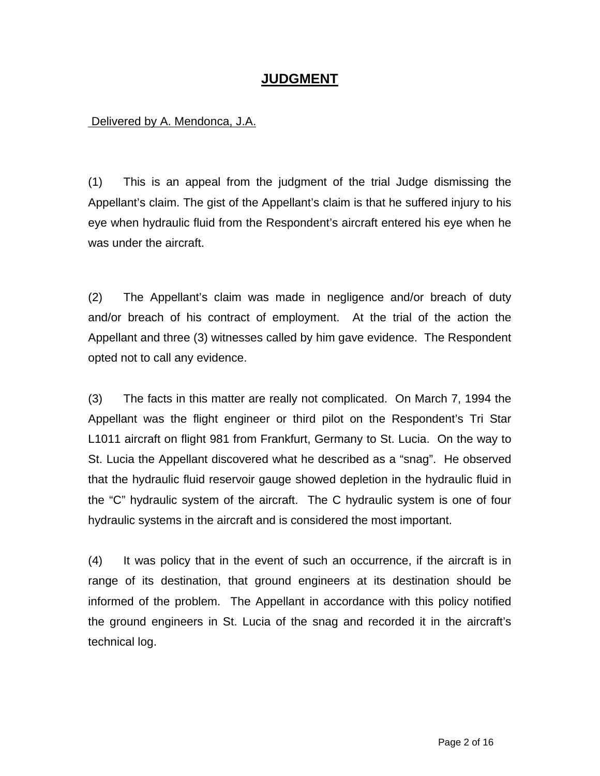# **JUDGMENT**

#### Delivered by A. Mendonca, J.A.

(1) This is an appeal from the judgment of the trial Judge dismissing the Appellant's claim. The gist of the Appellant's claim is that he suffered injury to his eye when hydraulic fluid from the Respondent's aircraft entered his eye when he was under the aircraft.

(2) The Appellant's claim was made in negligence and/or breach of duty and/or breach of his contract of employment. At the trial of the action the Appellant and three (3) witnesses called by him gave evidence. The Respondent opted not to call any evidence.

(3) The facts in this matter are really not complicated. On March 7, 1994 the Appellant was the flight engineer or third pilot on the Respondent's Tri Star L1011 aircraft on flight 981 from Frankfurt, Germany to St. Lucia. On the way to St. Lucia the Appellant discovered what he described as a "snag". He observed that the hydraulic fluid reservoir gauge showed depletion in the hydraulic fluid in the "C" hydraulic system of the aircraft. The C hydraulic system is one of four hydraulic systems in the aircraft and is considered the most important.

(4) It was policy that in the event of such an occurrence, if the aircraft is in range of its destination, that ground engineers at its destination should be informed of the problem. The Appellant in accordance with this policy notified the ground engineers in St. Lucia of the snag and recorded it in the aircraft's technical log.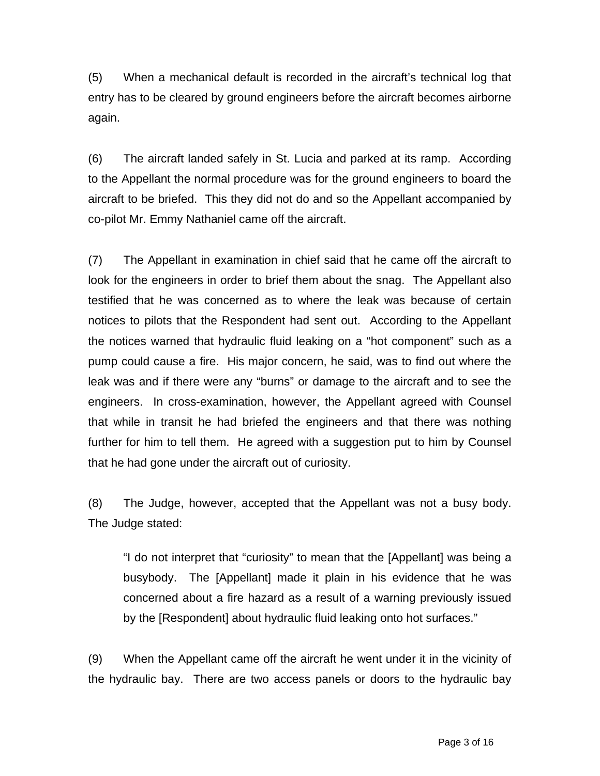(5) When a mechanical default is recorded in the aircraft's technical log that entry has to be cleared by ground engineers before the aircraft becomes airborne again.

(6) The aircraft landed safely in St. Lucia and parked at its ramp. According to the Appellant the normal procedure was for the ground engineers to board the aircraft to be briefed. This they did not do and so the Appellant accompanied by co-pilot Mr. Emmy Nathaniel came off the aircraft.

(7) The Appellant in examination in chief said that he came off the aircraft to look for the engineers in order to brief them about the snag. The Appellant also testified that he was concerned as to where the leak was because of certain notices to pilots that the Respondent had sent out. According to the Appellant the notices warned that hydraulic fluid leaking on a "hot component" such as a pump could cause a fire. His major concern, he said, was to find out where the leak was and if there were any "burns" or damage to the aircraft and to see the engineers. In cross-examination, however, the Appellant agreed with Counsel that while in transit he had briefed the engineers and that there was nothing further for him to tell them. He agreed with a suggestion put to him by Counsel that he had gone under the aircraft out of curiosity.

(8) The Judge, however, accepted that the Appellant was not a busy body. The Judge stated:

"I do not interpret that "curiosity" to mean that the [Appellant] was being a busybody. The [Appellant] made it plain in his evidence that he was concerned about a fire hazard as a result of a warning previously issued by the [Respondent] about hydraulic fluid leaking onto hot surfaces."

(9) When the Appellant came off the aircraft he went under it in the vicinity of the hydraulic bay. There are two access panels or doors to the hydraulic bay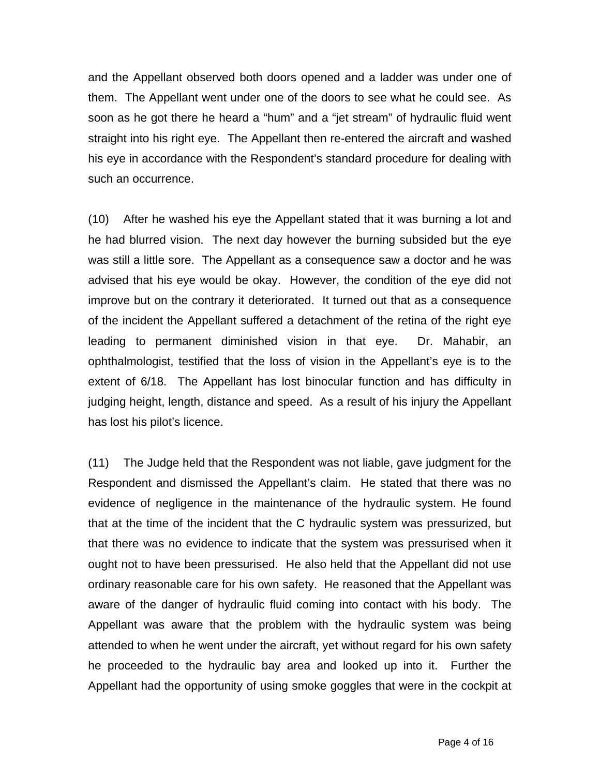and the Appellant observed both doors opened and a ladder was under one of them. The Appellant went under one of the doors to see what he could see. As soon as he got there he heard a "hum" and a "jet stream" of hydraulic fluid went straight into his right eye. The Appellant then re-entered the aircraft and washed his eye in accordance with the Respondent's standard procedure for dealing with such an occurrence.

(10) After he washed his eye the Appellant stated that it was burning a lot and he had blurred vision. The next day however the burning subsided but the eye was still a little sore. The Appellant as a consequence saw a doctor and he was advised that his eye would be okay. However, the condition of the eye did not improve but on the contrary it deteriorated. It turned out that as a consequence of the incident the Appellant suffered a detachment of the retina of the right eye leading to permanent diminished vision in that eye. Dr. Mahabir, an ophthalmologist, testified that the loss of vision in the Appellant's eye is to the extent of 6/18. The Appellant has lost binocular function and has difficulty in judging height, length, distance and speed. As a result of his injury the Appellant has lost his pilot's licence.

(11) The Judge held that the Respondent was not liable, gave judgment for the Respondent and dismissed the Appellant's claim. He stated that there was no evidence of negligence in the maintenance of the hydraulic system. He found that at the time of the incident that the C hydraulic system was pressurized, but that there was no evidence to indicate that the system was pressurised when it ought not to have been pressurised. He also held that the Appellant did not use ordinary reasonable care for his own safety. He reasoned that the Appellant was aware of the danger of hydraulic fluid coming into contact with his body. The Appellant was aware that the problem with the hydraulic system was being attended to when he went under the aircraft, yet without regard for his own safety he proceeded to the hydraulic bay area and looked up into it. Further the Appellant had the opportunity of using smoke goggles that were in the cockpit at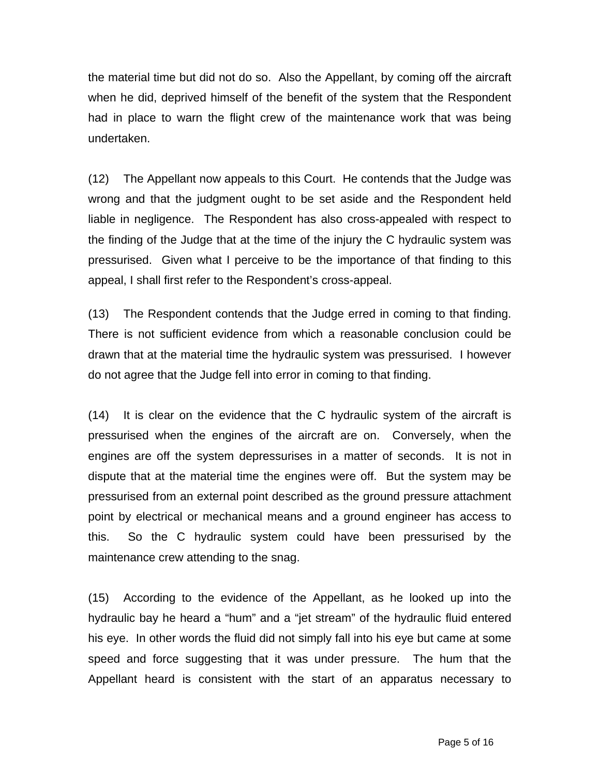the material time but did not do so. Also the Appellant, by coming off the aircraft when he did, deprived himself of the benefit of the system that the Respondent had in place to warn the flight crew of the maintenance work that was being undertaken.

(12) The Appellant now appeals to this Court. He contends that the Judge was wrong and that the judgment ought to be set aside and the Respondent held liable in negligence. The Respondent has also cross-appealed with respect to the finding of the Judge that at the time of the injury the C hydraulic system was pressurised. Given what I perceive to be the importance of that finding to this appeal, I shall first refer to the Respondent's cross-appeal.

(13) The Respondent contends that the Judge erred in coming to that finding. There is not sufficient evidence from which a reasonable conclusion could be drawn that at the material time the hydraulic system was pressurised. I however do not agree that the Judge fell into error in coming to that finding.

(14) It is clear on the evidence that the C hydraulic system of the aircraft is pressurised when the engines of the aircraft are on. Conversely, when the engines are off the system depressurises in a matter of seconds. It is not in dispute that at the material time the engines were off. But the system may be pressurised from an external point described as the ground pressure attachment point by electrical or mechanical means and a ground engineer has access to this. So the C hydraulic system could have been pressurised by the maintenance crew attending to the snag.

(15) According to the evidence of the Appellant, as he looked up into the hydraulic bay he heard a "hum" and a "jet stream" of the hydraulic fluid entered his eye. In other words the fluid did not simply fall into his eye but came at some speed and force suggesting that it was under pressure. The hum that the Appellant heard is consistent with the start of an apparatus necessary to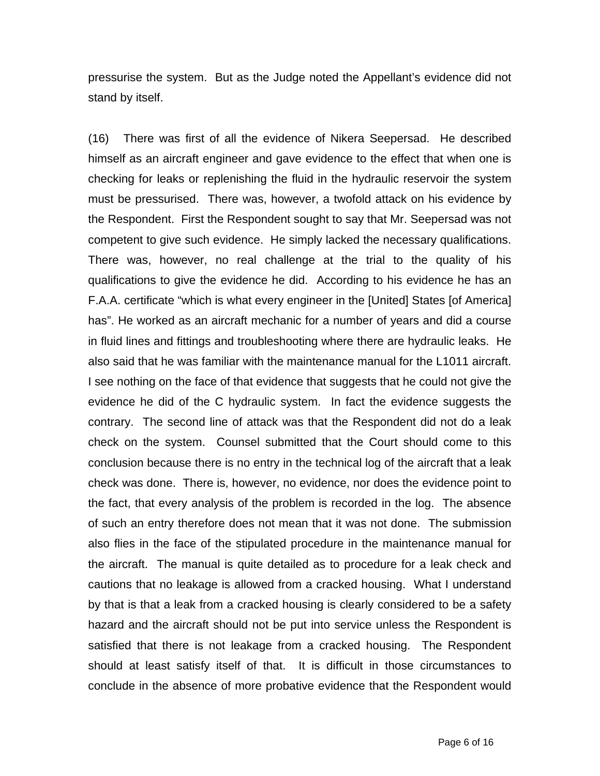pressurise the system. But as the Judge noted the Appellant's evidence did not stand by itself.

(16) There was first of all the evidence of Nikera Seepersad. He described himself as an aircraft engineer and gave evidence to the effect that when one is checking for leaks or replenishing the fluid in the hydraulic reservoir the system must be pressurised. There was, however, a twofold attack on his evidence by the Respondent. First the Respondent sought to say that Mr. Seepersad was not competent to give such evidence. He simply lacked the necessary qualifications. There was, however, no real challenge at the trial to the quality of his qualifications to give the evidence he did. According to his evidence he has an F.A.A. certificate "which is what every engineer in the [United] States [of America] has". He worked as an aircraft mechanic for a number of years and did a course in fluid lines and fittings and troubleshooting where there are hydraulic leaks. He also said that he was familiar with the maintenance manual for the L1011 aircraft. I see nothing on the face of that evidence that suggests that he could not give the evidence he did of the C hydraulic system. In fact the evidence suggests the contrary. The second line of attack was that the Respondent did not do a leak check on the system. Counsel submitted that the Court should come to this conclusion because there is no entry in the technical log of the aircraft that a leak check was done. There is, however, no evidence, nor does the evidence point to the fact, that every analysis of the problem is recorded in the log. The absence of such an entry therefore does not mean that it was not done. The submission also flies in the face of the stipulated procedure in the maintenance manual for the aircraft. The manual is quite detailed as to procedure for a leak check and cautions that no leakage is allowed from a cracked housing. What I understand by that is that a leak from a cracked housing is clearly considered to be a safety hazard and the aircraft should not be put into service unless the Respondent is satisfied that there is not leakage from a cracked housing. The Respondent should at least satisfy itself of that. It is difficult in those circumstances to conclude in the absence of more probative evidence that the Respondent would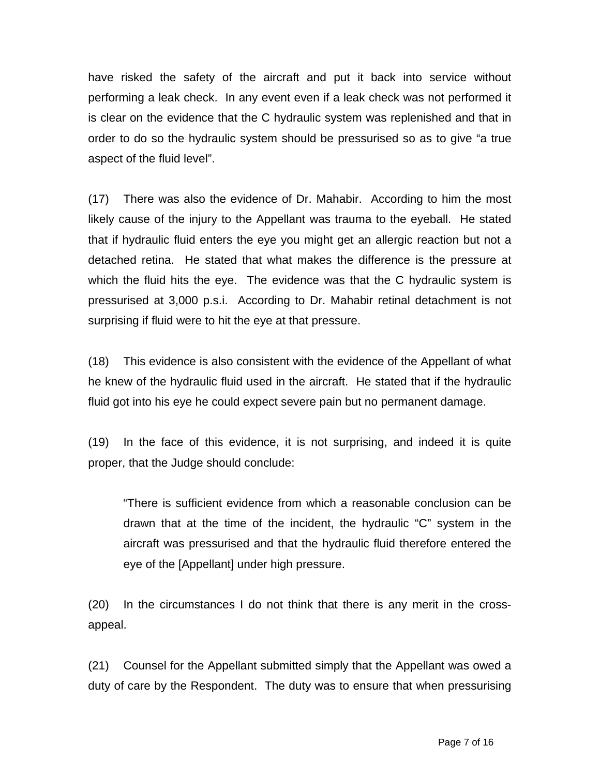have risked the safety of the aircraft and put it back into service without performing a leak check. In any event even if a leak check was not performed it is clear on the evidence that the C hydraulic system was replenished and that in order to do so the hydraulic system should be pressurised so as to give "a true aspect of the fluid level".

(17) There was also the evidence of Dr. Mahabir. According to him the most likely cause of the injury to the Appellant was trauma to the eyeball. He stated that if hydraulic fluid enters the eye you might get an allergic reaction but not a detached retina. He stated that what makes the difference is the pressure at which the fluid hits the eye. The evidence was that the C hydraulic system is pressurised at 3,000 p.s.i. According to Dr. Mahabir retinal detachment is not surprising if fluid were to hit the eye at that pressure.

(18) This evidence is also consistent with the evidence of the Appellant of what he knew of the hydraulic fluid used in the aircraft. He stated that if the hydraulic fluid got into his eye he could expect severe pain but no permanent damage.

(19) In the face of this evidence, it is not surprising, and indeed it is quite proper, that the Judge should conclude:

"There is sufficient evidence from which a reasonable conclusion can be drawn that at the time of the incident, the hydraulic "C" system in the aircraft was pressurised and that the hydraulic fluid therefore entered the eye of the [Appellant] under high pressure.

(20) In the circumstances I do not think that there is any merit in the crossappeal.

(21) Counsel for the Appellant submitted simply that the Appellant was owed a duty of care by the Respondent. The duty was to ensure that when pressurising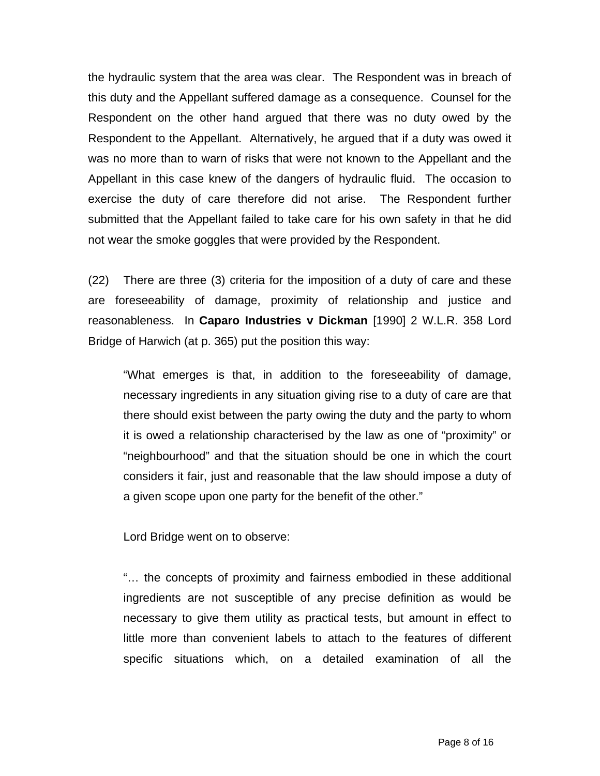the hydraulic system that the area was clear. The Respondent was in breach of this duty and the Appellant suffered damage as a consequence. Counsel for the Respondent on the other hand argued that there was no duty owed by the Respondent to the Appellant. Alternatively, he argued that if a duty was owed it was no more than to warn of risks that were not known to the Appellant and the Appellant in this case knew of the dangers of hydraulic fluid. The occasion to exercise the duty of care therefore did not arise. The Respondent further submitted that the Appellant failed to take care for his own safety in that he did not wear the smoke goggles that were provided by the Respondent.

(22) There are three (3) criteria for the imposition of a duty of care and these are foreseeability of damage, proximity of relationship and justice and reasonableness. In **Caparo Industries v Dickman** [1990] 2 W.L.R. 358 Lord Bridge of Harwich (at p. 365) put the position this way:

"What emerges is that, in addition to the foreseeability of damage, necessary ingredients in any situation giving rise to a duty of care are that there should exist between the party owing the duty and the party to whom it is owed a relationship characterised by the law as one of "proximity" or "neighbourhood" and that the situation should be one in which the court considers it fair, just and reasonable that the law should impose a duty of a given scope upon one party for the benefit of the other."

Lord Bridge went on to observe:

"… the concepts of proximity and fairness embodied in these additional ingredients are not susceptible of any precise definition as would be necessary to give them utility as practical tests, but amount in effect to little more than convenient labels to attach to the features of different specific situations which, on a detailed examination of all the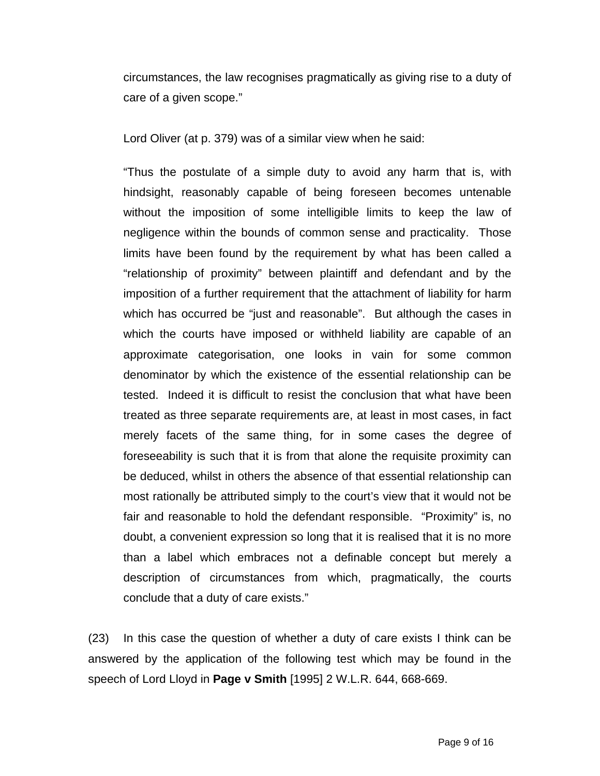circumstances, the law recognises pragmatically as giving rise to a duty of care of a given scope."

Lord Oliver (at p. 379) was of a similar view when he said:

"Thus the postulate of a simple duty to avoid any harm that is, with hindsight, reasonably capable of being foreseen becomes untenable without the imposition of some intelligible limits to keep the law of negligence within the bounds of common sense and practicality. Those limits have been found by the requirement by what has been called a "relationship of proximity" between plaintiff and defendant and by the imposition of a further requirement that the attachment of liability for harm which has occurred be "just and reasonable". But although the cases in which the courts have imposed or withheld liability are capable of an approximate categorisation, one looks in vain for some common denominator by which the existence of the essential relationship can be tested. Indeed it is difficult to resist the conclusion that what have been treated as three separate requirements are, at least in most cases, in fact merely facets of the same thing, for in some cases the degree of foreseeability is such that it is from that alone the requisite proximity can be deduced, whilst in others the absence of that essential relationship can most rationally be attributed simply to the court's view that it would not be fair and reasonable to hold the defendant responsible. "Proximity" is, no doubt, a convenient expression so long that it is realised that it is no more than a label which embraces not a definable concept but merely a description of circumstances from which, pragmatically, the courts conclude that a duty of care exists."

(23) In this case the question of whether a duty of care exists I think can be answered by the application of the following test which may be found in the speech of Lord Lloyd in **Page v Smith** [1995] 2 W.L.R. 644, 668-669.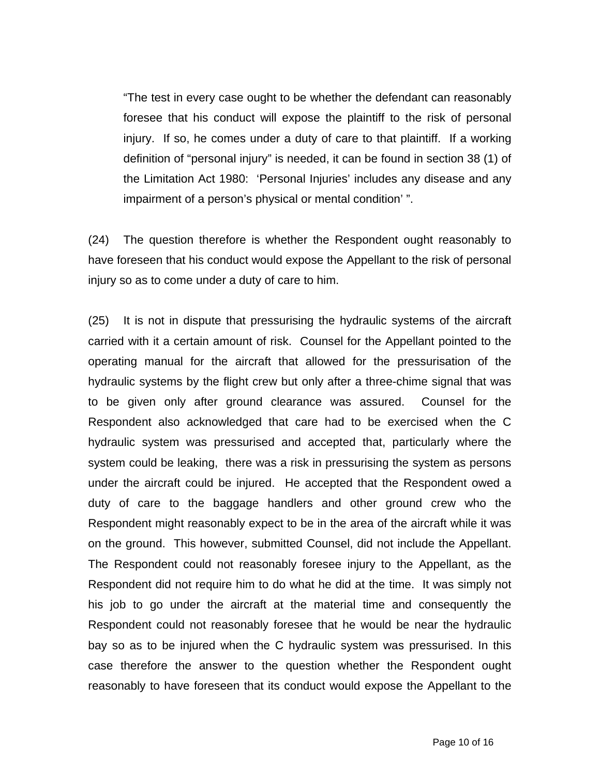"The test in every case ought to be whether the defendant can reasonably foresee that his conduct will expose the plaintiff to the risk of personal injury. If so, he comes under a duty of care to that plaintiff. If a working definition of "personal injury" is needed, it can be found in section 38 (1) of the Limitation Act 1980: 'Personal Injuries' includes any disease and any impairment of a person's physical or mental condition' ".

(24) The question therefore is whether the Respondent ought reasonably to have foreseen that his conduct would expose the Appellant to the risk of personal injury so as to come under a duty of care to him.

(25) It is not in dispute that pressurising the hydraulic systems of the aircraft carried with it a certain amount of risk. Counsel for the Appellant pointed to the operating manual for the aircraft that allowed for the pressurisation of the hydraulic systems by the flight crew but only after a three-chime signal that was to be given only after ground clearance was assured. Counsel for the Respondent also acknowledged that care had to be exercised when the C hydraulic system was pressurised and accepted that, particularly where the system could be leaking, there was a risk in pressurising the system as persons under the aircraft could be injured. He accepted that the Respondent owed a duty of care to the baggage handlers and other ground crew who the Respondent might reasonably expect to be in the area of the aircraft while it was on the ground. This however, submitted Counsel, did not include the Appellant. The Respondent could not reasonably foresee injury to the Appellant, as the Respondent did not require him to do what he did at the time. It was simply not his job to go under the aircraft at the material time and consequently the Respondent could not reasonably foresee that he would be near the hydraulic bay so as to be injured when the C hydraulic system was pressurised. In this case therefore the answer to the question whether the Respondent ought reasonably to have foreseen that its conduct would expose the Appellant to the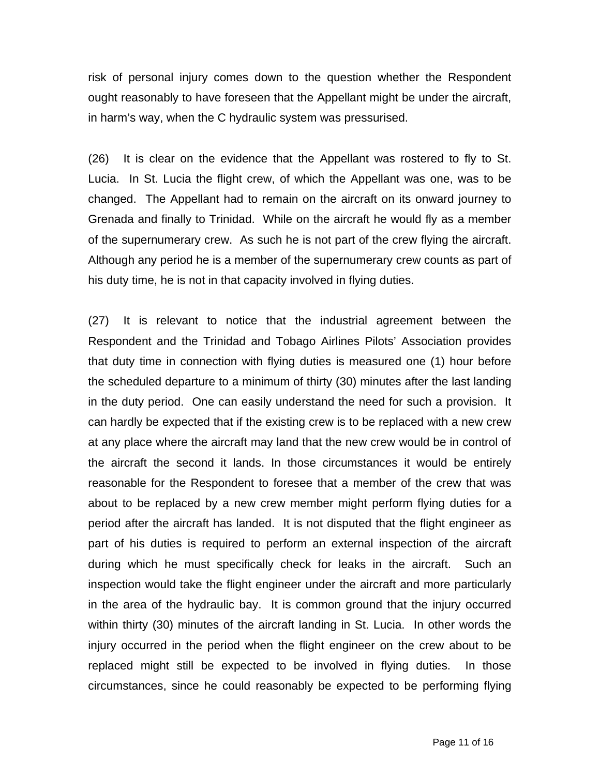risk of personal injury comes down to the question whether the Respondent ought reasonably to have foreseen that the Appellant might be under the aircraft, in harm's way, when the C hydraulic system was pressurised.

(26) It is clear on the evidence that the Appellant was rostered to fly to St. Lucia. In St. Lucia the flight crew, of which the Appellant was one, was to be changed. The Appellant had to remain on the aircraft on its onward journey to Grenada and finally to Trinidad. While on the aircraft he would fly as a member of the supernumerary crew. As such he is not part of the crew flying the aircraft. Although any period he is a member of the supernumerary crew counts as part of his duty time, he is not in that capacity involved in flying duties.

(27) It is relevant to notice that the industrial agreement between the Respondent and the Trinidad and Tobago Airlines Pilots' Association provides that duty time in connection with flying duties is measured one (1) hour before the scheduled departure to a minimum of thirty (30) minutes after the last landing in the duty period. One can easily understand the need for such a provision. It can hardly be expected that if the existing crew is to be replaced with a new crew at any place where the aircraft may land that the new crew would be in control of the aircraft the second it lands. In those circumstances it would be entirely reasonable for the Respondent to foresee that a member of the crew that was about to be replaced by a new crew member might perform flying duties for a period after the aircraft has landed. It is not disputed that the flight engineer as part of his duties is required to perform an external inspection of the aircraft during which he must specifically check for leaks in the aircraft. Such an inspection would take the flight engineer under the aircraft and more particularly in the area of the hydraulic bay. It is common ground that the injury occurred within thirty (30) minutes of the aircraft landing in St. Lucia. In other words the injury occurred in the period when the flight engineer on the crew about to be replaced might still be expected to be involved in flying duties. In those circumstances, since he could reasonably be expected to be performing flying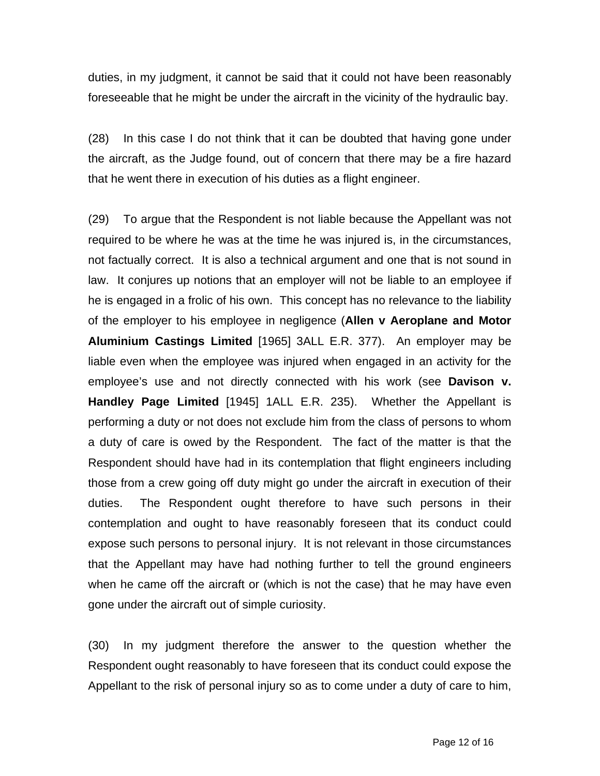duties, in my judgment, it cannot be said that it could not have been reasonably foreseeable that he might be under the aircraft in the vicinity of the hydraulic bay.

(28) In this case I do not think that it can be doubted that having gone under the aircraft, as the Judge found, out of concern that there may be a fire hazard that he went there in execution of his duties as a flight engineer.

(29) To argue that the Respondent is not liable because the Appellant was not required to be where he was at the time he was injured is, in the circumstances, not factually correct. It is also a technical argument and one that is not sound in law. It conjures up notions that an employer will not be liable to an employee if he is engaged in a frolic of his own. This concept has no relevance to the liability of the employer to his employee in negligence (**Allen v Aeroplane and Motor Aluminium Castings Limited** [1965] 3ALL E.R. 377). An employer may be liable even when the employee was injured when engaged in an activity for the employee's use and not directly connected with his work (see **Davison v. Handley Page Limited** [1945] 1ALL E.R. 235). Whether the Appellant is performing a duty or not does not exclude him from the class of persons to whom a duty of care is owed by the Respondent. The fact of the matter is that the Respondent should have had in its contemplation that flight engineers including those from a crew going off duty might go under the aircraft in execution of their duties. The Respondent ought therefore to have such persons in their contemplation and ought to have reasonably foreseen that its conduct could expose such persons to personal injury. It is not relevant in those circumstances that the Appellant may have had nothing further to tell the ground engineers when he came off the aircraft or (which is not the case) that he may have even gone under the aircraft out of simple curiosity.

(30) In my judgment therefore the answer to the question whether the Respondent ought reasonably to have foreseen that its conduct could expose the Appellant to the risk of personal injury so as to come under a duty of care to him,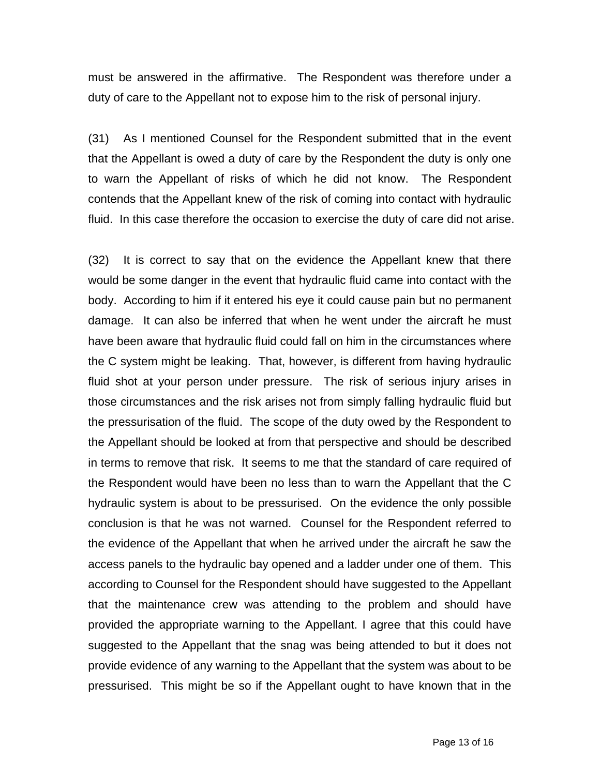must be answered in the affirmative. The Respondent was therefore under a duty of care to the Appellant not to expose him to the risk of personal injury.

(31) As I mentioned Counsel for the Respondent submitted that in the event that the Appellant is owed a duty of care by the Respondent the duty is only one to warn the Appellant of risks of which he did not know. The Respondent contends that the Appellant knew of the risk of coming into contact with hydraulic fluid. In this case therefore the occasion to exercise the duty of care did not arise.

(32) It is correct to say that on the evidence the Appellant knew that there would be some danger in the event that hydraulic fluid came into contact with the body. According to him if it entered his eye it could cause pain but no permanent damage. It can also be inferred that when he went under the aircraft he must have been aware that hydraulic fluid could fall on him in the circumstances where the C system might be leaking. That, however, is different from having hydraulic fluid shot at your person under pressure. The risk of serious injury arises in those circumstances and the risk arises not from simply falling hydraulic fluid but the pressurisation of the fluid. The scope of the duty owed by the Respondent to the Appellant should be looked at from that perspective and should be described in terms to remove that risk. It seems to me that the standard of care required of the Respondent would have been no less than to warn the Appellant that the C hydraulic system is about to be pressurised. On the evidence the only possible conclusion is that he was not warned. Counsel for the Respondent referred to the evidence of the Appellant that when he arrived under the aircraft he saw the access panels to the hydraulic bay opened and a ladder under one of them. This according to Counsel for the Respondent should have suggested to the Appellant that the maintenance crew was attending to the problem and should have provided the appropriate warning to the Appellant. I agree that this could have suggested to the Appellant that the snag was being attended to but it does not provide evidence of any warning to the Appellant that the system was about to be pressurised. This might be so if the Appellant ought to have known that in the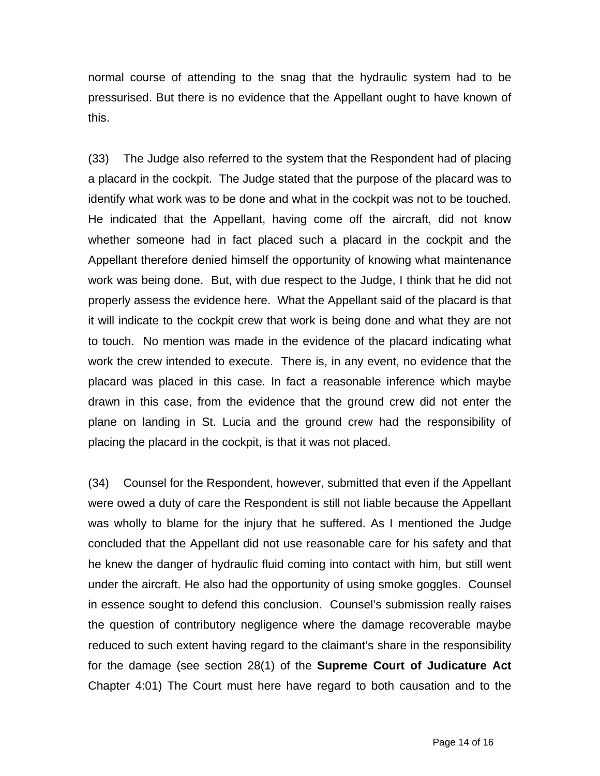normal course of attending to the snag that the hydraulic system had to be pressurised. But there is no evidence that the Appellant ought to have known of this.

(33) The Judge also referred to the system that the Respondent had of placing a placard in the cockpit. The Judge stated that the purpose of the placard was to identify what work was to be done and what in the cockpit was not to be touched. He indicated that the Appellant, having come off the aircraft, did not know whether someone had in fact placed such a placard in the cockpit and the Appellant therefore denied himself the opportunity of knowing what maintenance work was being done. But, with due respect to the Judge, I think that he did not properly assess the evidence here. What the Appellant said of the placard is that it will indicate to the cockpit crew that work is being done and what they are not to touch. No mention was made in the evidence of the placard indicating what work the crew intended to execute. There is, in any event, no evidence that the placard was placed in this case. In fact a reasonable inference which maybe drawn in this case, from the evidence that the ground crew did not enter the plane on landing in St. Lucia and the ground crew had the responsibility of placing the placard in the cockpit, is that it was not placed.

(34) Counsel for the Respondent, however, submitted that even if the Appellant were owed a duty of care the Respondent is still not liable because the Appellant was wholly to blame for the injury that he suffered. As I mentioned the Judge concluded that the Appellant did not use reasonable care for his safety and that he knew the danger of hydraulic fluid coming into contact with him, but still went under the aircraft. He also had the opportunity of using smoke goggles. Counsel in essence sought to defend this conclusion. Counsel's submission really raises the question of contributory negligence where the damage recoverable maybe reduced to such extent having regard to the claimant's share in the responsibility for the damage (see section 28(1) of the **Supreme Court of Judicature Act**  Chapter 4:01) The Court must here have regard to both causation and to the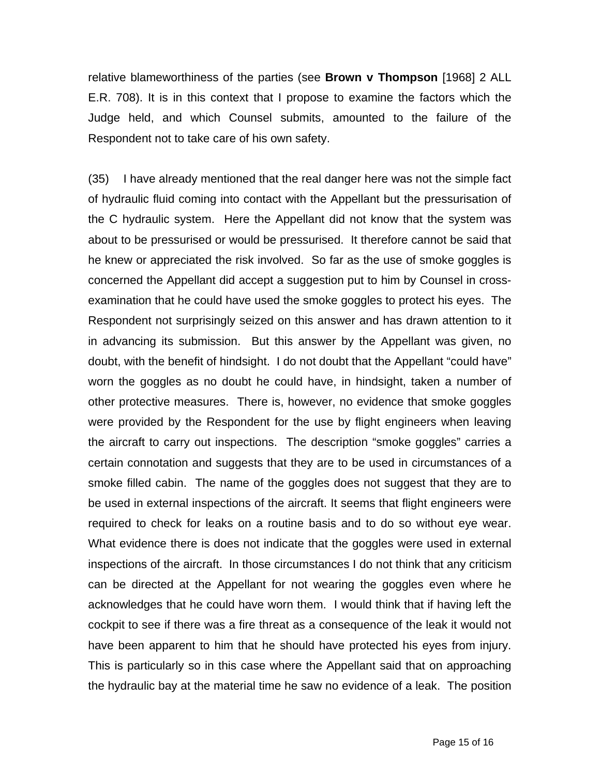relative blameworthiness of the parties (see **Brown v Thompson** [1968] 2 ALL E.R. 708). It is in this context that I propose to examine the factors which the Judge held, and which Counsel submits, amounted to the failure of the Respondent not to take care of his own safety.

(35) I have already mentioned that the real danger here was not the simple fact of hydraulic fluid coming into contact with the Appellant but the pressurisation of the C hydraulic system. Here the Appellant did not know that the system was about to be pressurised or would be pressurised. It therefore cannot be said that he knew or appreciated the risk involved. So far as the use of smoke goggles is concerned the Appellant did accept a suggestion put to him by Counsel in crossexamination that he could have used the smoke goggles to protect his eyes. The Respondent not surprisingly seized on this answer and has drawn attention to it in advancing its submission. But this answer by the Appellant was given, no doubt, with the benefit of hindsight. I do not doubt that the Appellant "could have" worn the goggles as no doubt he could have, in hindsight, taken a number of other protective measures. There is, however, no evidence that smoke goggles were provided by the Respondent for the use by flight engineers when leaving the aircraft to carry out inspections. The description "smoke goggles" carries a certain connotation and suggests that they are to be used in circumstances of a smoke filled cabin. The name of the goggles does not suggest that they are to be used in external inspections of the aircraft. It seems that flight engineers were required to check for leaks on a routine basis and to do so without eye wear. What evidence there is does not indicate that the goggles were used in external inspections of the aircraft. In those circumstances I do not think that any criticism can be directed at the Appellant for not wearing the goggles even where he acknowledges that he could have worn them. I would think that if having left the cockpit to see if there was a fire threat as a consequence of the leak it would not have been apparent to him that he should have protected his eyes from injury. This is particularly so in this case where the Appellant said that on approaching the hydraulic bay at the material time he saw no evidence of a leak. The position